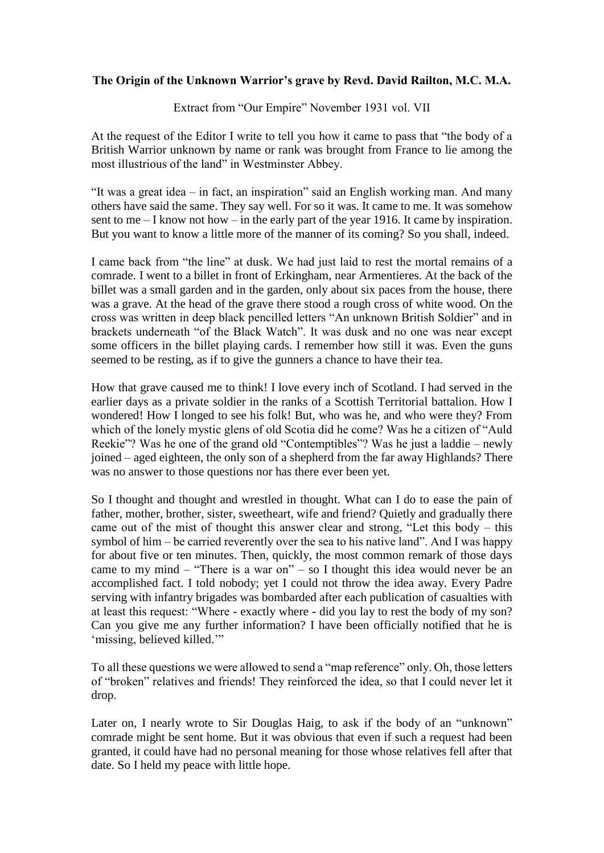## **The Origin of the Unknown Warrior's grave by Revd. David Railton, M.C. M.A.**

Extract from "Our Empire" November 1931 vol. VII

At the request of the Editor I write to tell you how it came to pass that "the body of a British Warrior unknown by name or rank was brought from France to lie among the most illustrious of the land" in Westminster Abbey.

"It was a great idea – in fact, an inspiration" said an English working man. And many others have said the same. They say well. For so it was. It came to me. It was somehow sent to me  $-$  I know not how  $-$  in the early part of the year 1916. It came by inspiration. But you want to know a little more of the manner of its coming? So you shall, indeed.

I came back from "the line" at dusk. We had just laid to rest the mortal remains of a comrade. I went to a billet in front of Erkingham, near Armentieres. At the back of the billet was a small garden and in the garden, only about six paces from the house, there was a grave. At the head of the grave there stood a rough cross of white wood. On the cross was written in deep black pencilled letters "An unknown British Soldier" and in brackets underneath "of the Black Watch". It was dusk and no one was near except some officers in the billet playing cards. I remember how still it was. Even the guns seemed to be resting, as if to give the gunners a chance to have their tea.

How that grave caused me to think! I love every inch of Scotland. I had served in the earlier days as a private soldier in the ranks of a Scottish Territorial battalion. How I wondered! How I longed to see his folk! But, who was he, and who were they? From which of the lonely mystic glens of old Scotia did he come? Was he a citizen of "Auld Reekie"? Was he one of the grand old "Contemptibles"? Was he just a laddie – newly joined – aged eighteen, the only son of a shepherd from the far away Highlands? There was no answer to those questions nor has there ever been yet.

So I thought and thought and wrestled in thought. What can I do to ease the pain of father, mother, brother, sister, sweetheart, wife and friend? Quietly and gradually there came out of the mist of thought this answer clear and strong, "Let this body – this symbol of him – be carried reverently over the sea to his native land". And I was happy for about five or ten minutes. Then, quickly, the most common remark of those days came to my mind – "There is a war on" – so I thought this idea would never be an accomplished fact. I told nobody; yet I could not throw the idea away. Every Padre serving with infantry brigades was bombarded after each publication of casualties with at least this request: "Where - exactly where - did you lay to rest the body of my son? Can you give me any further information? I have been officially notified that he is 'missing, believed killed.'"

To all these questions we were allowed to send a "map reference" only. Oh, those letters of "broken" relatives and friends! They reinforced the idea, so that I could never let it drop.

Later on, I nearly wrote to Sir Douglas Haig, to ask if the body of an "unknown" comrade might be sent home. But it was obvious that even if such a request had been granted, it could have had no personal meaning for those whose relatives fell after that date. So I held my peace with little hope.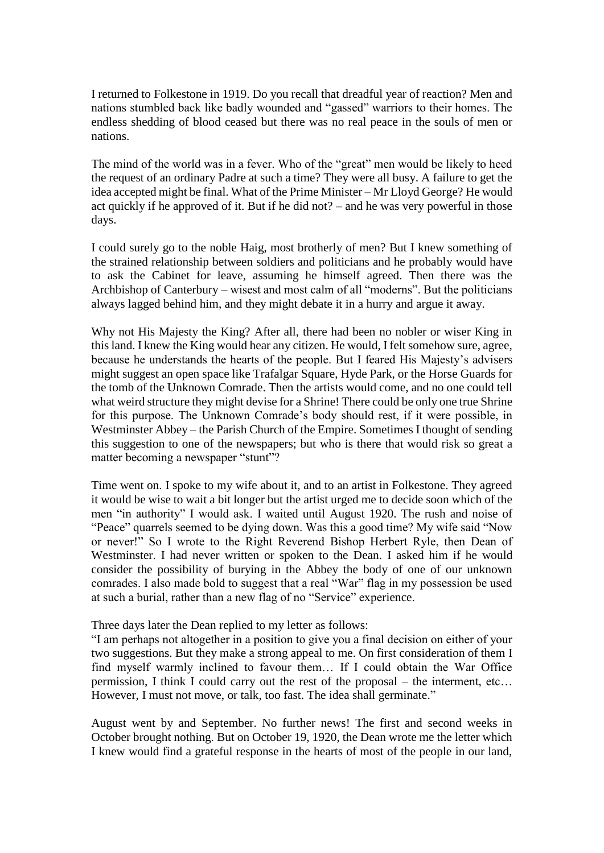I returned to Folkestone in 1919. Do you recall that dreadful year of reaction? Men and nations stumbled back like badly wounded and "gassed" warriors to their homes. The endless shedding of blood ceased but there was no real peace in the souls of men or nations.

The mind of the world was in a fever. Who of the "great" men would be likely to heed the request of an ordinary Padre at such a time? They were all busy. A failure to get the idea accepted might be final. What of the Prime Minister – Mr Lloyd George? He would act quickly if he approved of it. But if he did not? – and he was very powerful in those days.

I could surely go to the noble Haig, most brotherly of men? But I knew something of the strained relationship between soldiers and politicians and he probably would have to ask the Cabinet for leave, assuming he himself agreed. Then there was the Archbishop of Canterbury – wisest and most calm of all "moderns". But the politicians always lagged behind him, and they might debate it in a hurry and argue it away.

Why not His Majesty the King? After all, there had been no nobler or wiser King in this land. I knew the King would hear any citizen. He would, I felt somehow sure, agree, because he understands the hearts of the people. But I feared His Majesty's advisers might suggest an open space like Trafalgar Square, Hyde Park, or the Horse Guards for the tomb of the Unknown Comrade. Then the artists would come, and no one could tell what weird structure they might devise for a Shrine! There could be only one true Shrine for this purpose. The Unknown Comrade's body should rest, if it were possible, in Westminster Abbey – the Parish Church of the Empire. Sometimes I thought of sending this suggestion to one of the newspapers; but who is there that would risk so great a matter becoming a newspaper "stunt"?

Time went on. I spoke to my wife about it, and to an artist in Folkestone. They agreed it would be wise to wait a bit longer but the artist urged me to decide soon which of the men "in authority" I would ask. I waited until August 1920. The rush and noise of "Peace" quarrels seemed to be dying down. Was this a good time? My wife said "Now or never!" So I wrote to the Right Reverend Bishop Herbert Ryle, then Dean of Westminster. I had never written or spoken to the Dean. I asked him if he would consider the possibility of burying in the Abbey the body of one of our unknown comrades. I also made bold to suggest that a real "War" flag in my possession be used at such a burial, rather than a new flag of no "Service" experience.

Three days later the Dean replied to my letter as follows:

"I am perhaps not altogether in a position to give you a final decision on either of your two suggestions. But they make a strong appeal to me. On first consideration of them I find myself warmly inclined to favour them… If I could obtain the War Office permission, I think I could carry out the rest of the proposal – the interment, etc… However, I must not move, or talk, too fast. The idea shall germinate."

August went by and September. No further news! The first and second weeks in October brought nothing. But on October 19, 1920, the Dean wrote me the letter which I knew would find a grateful response in the hearts of most of the people in our land,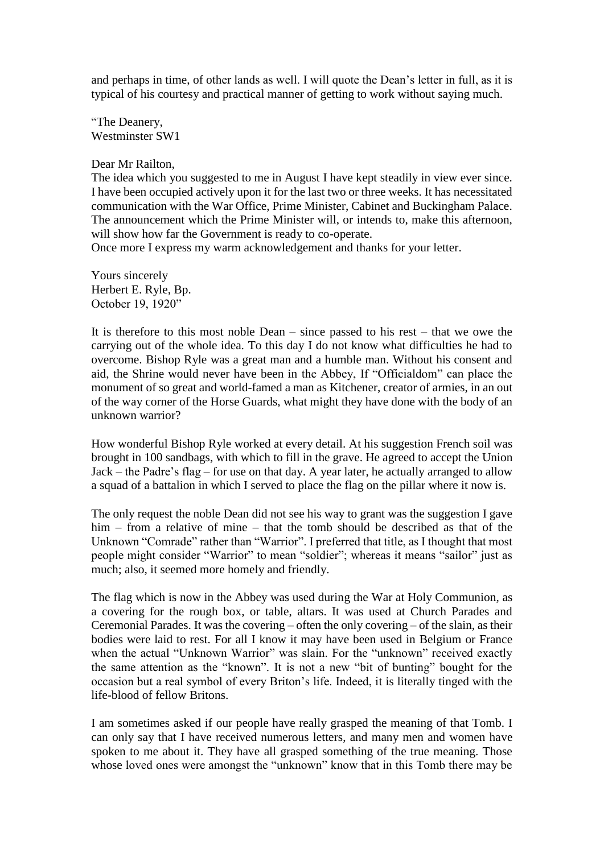and perhaps in time, of other lands as well. I will quote the Dean's letter in full, as it is typical of his courtesy and practical manner of getting to work without saying much.

"The Deanery, Westminster SW1

Dear Mr Railton,

The idea which you suggested to me in August I have kept steadily in view ever since. I have been occupied actively upon it for the last two or three weeks. It has necessitated communication with the War Office, Prime Minister, Cabinet and Buckingham Palace. The announcement which the Prime Minister will, or intends to, make this afternoon, will show how far the Government is ready to co-operate.

Once more I express my warm acknowledgement and thanks for your letter.

Yours sincerely Herbert E. Ryle, Bp. October 19, 1920"

It is therefore to this most noble Dean – since passed to his rest – that we owe the carrying out of the whole idea. To this day I do not know what difficulties he had to overcome. Bishop Ryle was a great man and a humble man. Without his consent and aid, the Shrine would never have been in the Abbey, If "Officialdom" can place the monument of so great and world-famed a man as Kitchener, creator of armies, in an out of the way corner of the Horse Guards, what might they have done with the body of an unknown warrior?

How wonderful Bishop Ryle worked at every detail. At his suggestion French soil was brought in 100 sandbags, with which to fill in the grave. He agreed to accept the Union Jack – the Padre's flag – for use on that day. A year later, he actually arranged to allow a squad of a battalion in which I served to place the flag on the pillar where it now is.

The only request the noble Dean did not see his way to grant was the suggestion I gave him – from a relative of mine – that the tomb should be described as that of the Unknown "Comrade" rather than "Warrior". I preferred that title, as I thought that most people might consider "Warrior" to mean "soldier"; whereas it means "sailor" just as much; also, it seemed more homely and friendly.

The flag which is now in the Abbey was used during the War at Holy Communion, as a covering for the rough box, or table, altars. It was used at Church Parades and Ceremonial Parades. It was the covering – often the only covering – of the slain, as their bodies were laid to rest. For all I know it may have been used in Belgium or France when the actual "Unknown Warrior" was slain. For the "unknown" received exactly the same attention as the "known". It is not a new "bit of bunting" bought for the occasion but a real symbol of every Briton's life. Indeed, it is literally tinged with the life-blood of fellow Britons.

I am sometimes asked if our people have really grasped the meaning of that Tomb. I can only say that I have received numerous letters, and many men and women have spoken to me about it. They have all grasped something of the true meaning. Those whose loved ones were amongst the "unknown" know that in this Tomb there may be